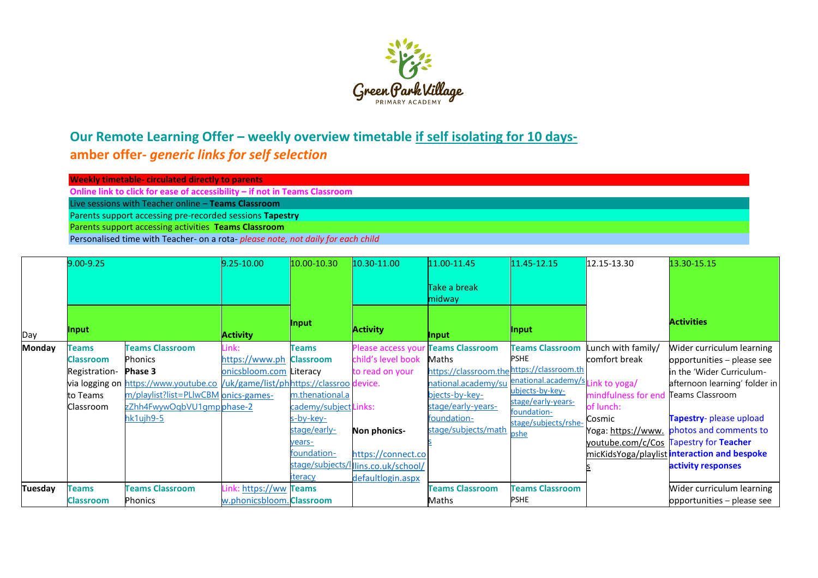

## Our Remote Learning Offer - weekly overview timetable if self isolating for 10 days**amber offer-** *generic links for self selection*

| <b>Weekly timetable- circulated directly to parents</b>                           |  |
|-----------------------------------------------------------------------------------|--|
| Online link to click for ease of accessibility – if not in Teams Classroom        |  |
| Live sessions with Teacher online – Teams Classroom                               |  |
| Parents support accessing pre-recorded sessions Tapestry                          |  |
| Parents support accessing activities Teams Classroom                              |  |
| Demonstrated times with Teachers are a note information and deily for existential |  |

|               |                  | Personalised time with Teacher- on a rota-please note, not daily for each child |                           |                       |                     |                        |                                   |                     |                                              |
|---------------|------------------|---------------------------------------------------------------------------------|---------------------------|-----------------------|---------------------|------------------------|-----------------------------------|---------------------|----------------------------------------------|
|               | 9.00-9.25        |                                                                                 | $9.25 - 10.00$            | 10.00-10.30           | 10.30-11.00         | 11.00-11.45            | 11.45-12.15                       | 12.15-13.30         | 13.30-15.15                                  |
|               |                  |                                                                                 |                           |                       |                     | Take a break<br>midway |                                   |                     |                                              |
| Day           | Input            |                                                                                 | <b>Activity</b>           | Input                 | <b>Activity</b>     | Input                  | Input                             |                     | <b>Activities</b>                            |
| <b>Monday</b> | <b>Teams</b>     | <b>Teams Classroom</b>                                                          | Link:                     | <b>Teams</b>          | Please access your  | <b>Teams Classroom</b> | <b>Teams Classroom</b>            | unch with family/   | Wider curriculum learning                    |
|               | Classroom        | Phonics                                                                         | https://www.ph            | <b>Classroom</b>      | child's level book  | Maths                  | <b>PSHE</b>                       | comfort break       | opportunities - please see                   |
|               | Registration-    | Phase 3                                                                         | onicsbloom.com            | Literacy              | to read on your     | https://classroom.the  | https://classroom.th              |                     | in the 'Wider Curriculum-                    |
|               |                  | via logging on https://www.youtube.co /uk/game/list/phhttps://classroo device.  |                           |                       |                     | national.academy/su    | enational.academy/s Link to yoga/ |                     | afternoon learning' folder in                |
|               | to Teams         | m/playlist?list=PLlwCBM onics-games-                                            |                           | m.thenational.a       |                     | bjects-by-key-         | ubjects-by-key-                   | mindfulness for end | Teams Classroom                              |
|               | Classroom        | zZhh4FwywOqbVU1gmpphase-2                                                       |                           | cademy/subject Links: |                     | stage/early-years-     | stage/early-years-<br>foundation- | of lunch:           |                                              |
|               |                  | hk1ujh9-5                                                                       |                           | s-by-key-             |                     | foundation-            | stage/subjects/rshe-              | Cosmic              | Tapestry- please upload                      |
|               |                  |                                                                                 |                           | stage/early-          | Non phonics-        | stage/subjects/math    | <u>pshe</u>                       | Yoga: https://www.  | photos and comments to                       |
|               |                  |                                                                                 |                           | vears-                |                     |                        |                                   |                     | youtube.com/c/Cos Tapestry for Teacher       |
|               |                  |                                                                                 |                           | foundation-           | https://connect.co  |                        |                                   |                     | micKidsYoga/playlist interaction and bespoke |
|               |                  |                                                                                 |                           | stage/subjects/       | Ilins.co.uk/school/ |                        |                                   |                     | activity responses                           |
|               |                  |                                                                                 |                           | iteracy               | defaultlogin.aspx   |                        |                                   |                     |                                              |
| Tuesday       | <b>Teams</b>     | <b>Teams Classroom</b>                                                          | https://ww                | <b>Teams</b>          |                     | <b>Teams Classroom</b> | <b>Teams Classroom</b>            |                     | Wider curriculum learning                    |
|               | <b>Classroom</b> | <b>Phonics</b>                                                                  | w.phonicsbloom. Classroom |                       |                     | Maths                  | <b>PSHE</b>                       |                     | opportunities – please see                   |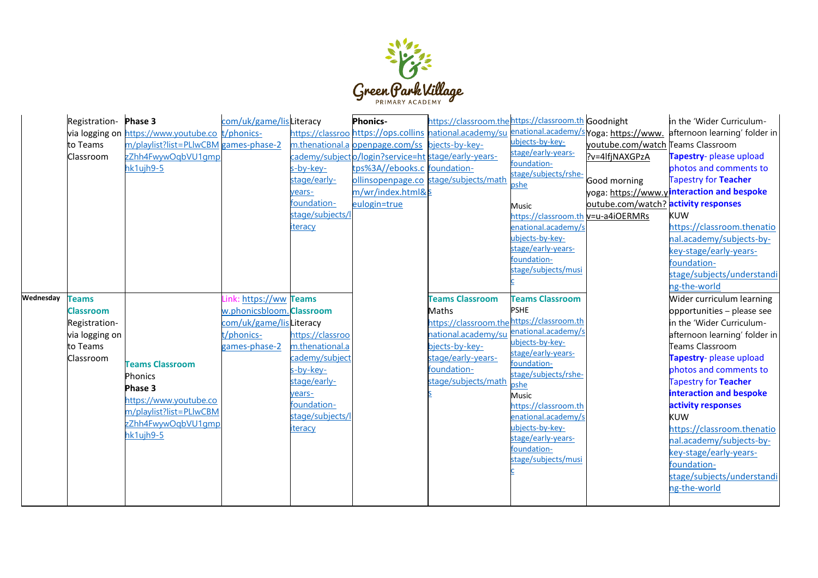

|           | Registration- Phase 3           |                                                  | com/uk/game/lisLiteracy               |                                     | <b>Phonics-</b>                                     | https://classroom.thehttps://classroom.th Goodnight                          |                                    |                                      | in the 'Wider Curriculum-                                  |
|-----------|---------------------------------|--------------------------------------------------|---------------------------------------|-------------------------------------|-----------------------------------------------------|------------------------------------------------------------------------------|------------------------------------|--------------------------------------|------------------------------------------------------------|
|           |                                 | via logging on https://www.youtube.co t/phonics- |                                       |                                     |                                                     | https://classroo.https://ops.collins.hational.academy/su.enational.academy/s |                                    |                                      | Yoga: https://www. afternoon learning' folder in           |
|           | to Teams                        | m/playlist?list=PLIwCBM games-phase-2            |                                       |                                     | m.thenational.a openpage.com/ss bjects-by-key-      |                                                                              | ubjects-by-key-                    | youtube.com/watch Teams Classroom    |                                                            |
|           | Classroom                       | zZhh4FwywOqbVU1qmp                               |                                       |                                     | cademy/subjecto/login?service=ht stage/early-years- |                                                                              | stage/early-years-                 | ?v=4lfjNAXGPzA                       | Tapestry- please upload                                    |
|           |                                 | hk1ujh9-5                                        |                                       | s-by-key-                           | tps%3A//ebooks.c foundation-                        |                                                                              | foundation-                        |                                      | photos and comments to                                     |
|           |                                 |                                                  |                                       | stage/early-                        |                                                     | ollinsopenpage.co stage/subjects/math                                        | stage/subjects/rshe-               | Good morning                         | <b>Tapestry for Teacher</b>                                |
|           |                                 |                                                  |                                       | years-                              | m/wr/index.html&s                                   |                                                                              | pshe                               |                                      | yoga: https://www.yinteraction and bespoke                 |
|           |                                 |                                                  |                                       | foundation-                         | eulogin=true                                        |                                                                              | Music                              | outube.com/watch? activity responses |                                                            |
|           |                                 |                                                  |                                       | stage/subjects/l                    |                                                     |                                                                              | https://classroom.th v=u-a4iOERMRs |                                      | <b>KUW</b>                                                 |
|           |                                 |                                                  |                                       | <u>iteracy</u>                      |                                                     |                                                                              | enational.academy/s                |                                      | https://classroom.thenatio                                 |
|           |                                 |                                                  |                                       |                                     |                                                     |                                                                              | ubjects-by-key-                    |                                      | nal.academy/subjects-by-                                   |
|           |                                 |                                                  |                                       |                                     |                                                     |                                                                              | stage/early-years-                 |                                      | key-stage/early-years-                                     |
|           |                                 |                                                  |                                       |                                     |                                                     |                                                                              | foundation-                        |                                      | foundation-                                                |
|           |                                 |                                                  |                                       |                                     |                                                     |                                                                              | stage/subjects/musi                |                                      | stage/subjects/understandi                                 |
|           |                                 |                                                  |                                       |                                     |                                                     |                                                                              |                                    |                                      | ng-the-world                                               |
| Wednesday | <b>Teams</b>                    |                                                  | https://ww Teams<br>ink               |                                     |                                                     | <b>Teams Classroom</b>                                                       | <b>Teams Classroom</b>             |                                      | Wider curriculum learning                                  |
|           | <b>Classroom</b>                |                                                  | w.phonicsbloom. Classroom             |                                     |                                                     | Maths                                                                        | <b>PSHE</b>                        |                                      | opportunities - please see                                 |
|           |                                 |                                                  |                                       |                                     |                                                     |                                                                              |                                    |                                      |                                                            |
|           |                                 |                                                  |                                       |                                     |                                                     |                                                                              |                                    |                                      |                                                            |
|           | Registration-<br>via logging on |                                                  | com/uk/game/lisLiteracy<br>t/phonics- |                                     |                                                     | https://classroom.the https://classroom.th                                   |                                    |                                      | in the 'Wider Curriculum-<br>afternoon learning' folder in |
|           | to Teams                        |                                                  | games-phase-2                         | https://classroo<br>m.thenational.a |                                                     | national.academy/su enational.academy/s<br>bjects-by-key-                    | ubjects-by-key-                    |                                      | Teams Classroom                                            |
|           | Classroom                       |                                                  |                                       | cademy/subject                      |                                                     | stage/early-years-                                                           | stage/early-years-                 |                                      | Tapestry- please upload                                    |
|           |                                 | <b>Teams Classroom</b>                           |                                       | s-by-key-                           |                                                     | foundation-                                                                  | foundation-                        |                                      | photos and comments to                                     |
|           |                                 | <b>Phonics</b>                                   |                                       | stage/early-                        |                                                     | stage/subjects/math                                                          | stage/subjects/rshe-               |                                      | Tapestry for Teacher                                       |
|           |                                 | Phase 3                                          |                                       | vears-                              |                                                     |                                                                              | oshe<br>Music                      |                                      | interaction and bespoke                                    |
|           |                                 | https://www.youtube.co                           |                                       | foundation-                         |                                                     |                                                                              | https://classroom.th               |                                      | activity responses                                         |
|           |                                 | m/playlist?list=PLIwCBM                          |                                       | stage/subjects/l                    |                                                     |                                                                              | enational.academy/                 |                                      | <b>KUW</b>                                                 |
|           |                                 | zZhh4FwywQqbVU1qmp                               |                                       | <u>iteracy</u>                      |                                                     |                                                                              | ubjects-by-key-                    |                                      | https://classroom.thenatio                                 |
|           |                                 | hk1ujh9-5                                        |                                       |                                     |                                                     |                                                                              | stage/early-years-                 |                                      | nal.academy/subjects-by-                                   |
|           |                                 |                                                  |                                       |                                     |                                                     |                                                                              | foundation-                        |                                      | key-stage/early-years-                                     |
|           |                                 |                                                  |                                       |                                     |                                                     |                                                                              | stage/subjects/musi                |                                      | foundation-                                                |
|           |                                 |                                                  |                                       |                                     |                                                     |                                                                              |                                    |                                      | stage/subjects/understandi                                 |
|           |                                 |                                                  |                                       |                                     |                                                     |                                                                              |                                    |                                      | ng-the-world                                               |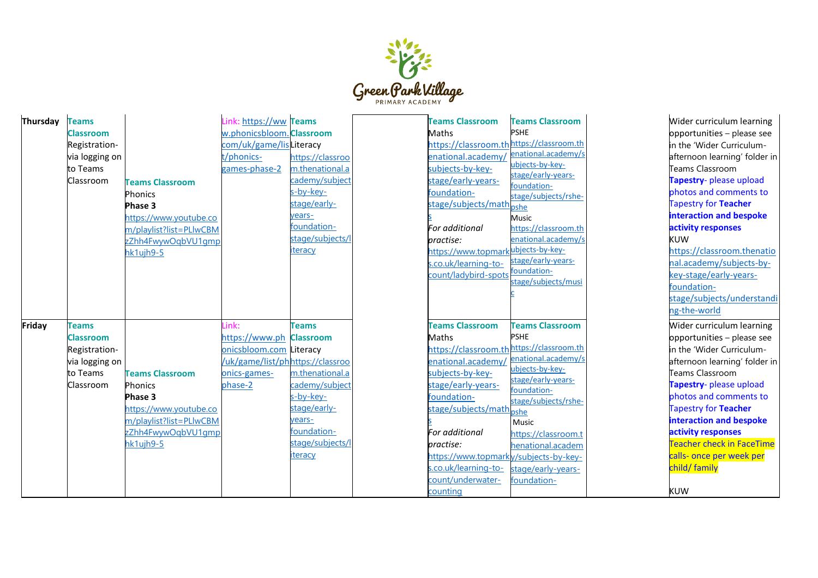

| Thursday | <b>Teams</b><br><b>Classroom</b><br>Registration-<br>via logging on<br>to Teams<br>Classroom | <b>Teams Classroom</b><br>Phonics<br>Phase 3<br>https://www.youtube.co<br>m/playlist?list=PLIwCBM<br>zZhh4FwywOqbVU1qmp<br>hk1ujh9-5 | Link: https://ww Teams<br>w.phonicsbloom. Classroom<br>com/uk/game/lisLiteracy<br>t/phonics-<br>games-phase-2 | https://classroo<br>m.thenational.a<br>cademy/subject<br>s-by-key-<br>stage/early-<br>years-<br>foundation-<br>stage/subjects/l<br>iteracy |  |
|----------|----------------------------------------------------------------------------------------------|--------------------------------------------------------------------------------------------------------------------------------------|---------------------------------------------------------------------------------------------------------------|--------------------------------------------------------------------------------------------------------------------------------------------|--|
| Friday   | <b>Teams</b><br><b>Classroom</b>                                                             |                                                                                                                                      | Link:<br>https://www.ph                                                                                       | <b>Teams</b><br><b>Classroom</b>                                                                                                           |  |
|          | Registration-<br>via logging on<br>to Teams<br>Classroom                                     | <b>Teams Classroom</b><br>Phonics<br>Phase 3<br>https://www.youtube.co<br>m/playlist?list=PLIwCBM<br>zZhh4FwywOqbVU1qmp<br>hk1ujh9-5 | onicsbloom.com Literacy<br>/uk/game/list/phhttps://classroo<br>onics-games-<br>phase-2                        | m.thenational.a<br>cademy/subject<br>s-by-key-<br>stage/early-<br>years-<br>foundation-<br>stage/subjects/l<br><u>iteracy</u>              |  |

| <b>Teams Classroom</b><br>Maths<br>https://classroom.th<br>enational.academy/<br>subjects-by-key-<br>stage/early-years-<br>foundation-<br>stage/subjects/math <sub>pshe</sub><br>For additional<br>practise:<br>https://www.topmarkubjects-by-key-<br>s.co.uk/learning-to-<br>count/ladybird-spots                 | <b>Teams Classroom</b><br><b>PSHE</b><br>https://classroom.th<br>enational.academy/s<br>ubjects-by-key-<br>stage/early-years-<br>foundation-<br>stage/subjects/rshe-<br>Music<br>https://classroom.th<br>enational.academy/s<br>stage/early-years-<br>foundation-<br>stage/subjects/musi<br>Ċ |
|--------------------------------------------------------------------------------------------------------------------------------------------------------------------------------------------------------------------------------------------------------------------------------------------------------------------|-----------------------------------------------------------------------------------------------------------------------------------------------------------------------------------------------------------------------------------------------------------------------------------------------|
| <b>Teams Classroom</b><br>Maths<br>https://classroom.thhttps://classroom.th<br>enational.academy/<br>subjects-by-key-<br>stage/early-years-<br>foundation-<br>stage/subjects/math<br>For additional<br>practise:<br>https://www.topmarky/subjects-by-key-<br>s.co.uk/learning-to-<br>count/underwater-<br>counting | <b>Teams Classroom</b><br><b>PSHE</b><br>enational.academy/s<br>ubjects-by-key-<br>stage/early-years-<br>foundation-<br>stage/subjects/rshe-<br>pshe<br>Music<br>https://classroom.t<br>henational.academ<br>stage/early-years-<br>foundation-                                                |

Wider curriculum learning opportunities – please see in the 'Wider Curriculum afternoon learning' folder in Teams Classroom **Tapestry** - please upload photos and comments to Tapestry for **Teacher interaction and bespoke activity responses** KUW [https://classroom.thenatio](https://classroom.thenational.academy/subjects-by-key-stage/early-years-foundation-stage/subjects/understanding-the-world) [nal.academy/subjects](https://classroom.thenational.academy/subjects-by-key-stage/early-years-foundation-stage/subjects/understanding-the-world) -by - key[-stage/early](https://classroom.thenational.academy/subjects-by-key-stage/early-years-foundation-stage/subjects/understanding-the-world)-years[foundation](https://classroom.thenational.academy/subjects-by-key-stage/early-years-foundation-stage/subjects/understanding-the-world) [stage/subjects/understandi](https://classroom.thenational.academy/subjects-by-key-stage/early-years-foundation-stage/subjects/understanding-the-world) ng -the [-worl](https://classroom.thenational.academy/subjects-by-key-stage/early-years-foundation-stage/subjects/understanding-the-world) d Wider curriculum learning opportunities – please see in the 'Wider Curriculum afternoon learning' folder in Teams Classroom **Tapestry** - please upload photos and comments to Tapestry for **Teacher interaction and bespoke activity responses** Teacher check in FaceTime calls - once per week per child/ family KUW